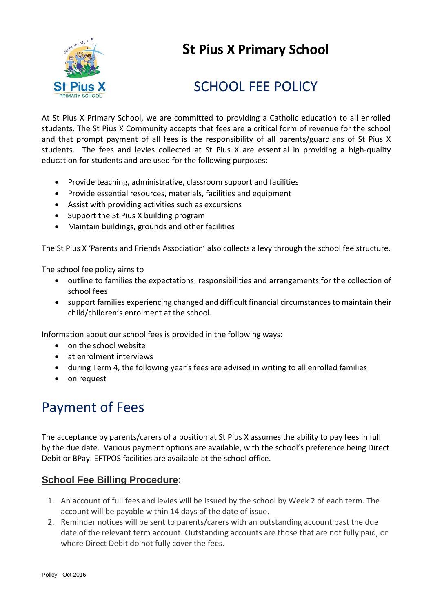

## **St Pius X Primary School**

# SCHOOL FFF POLICY

At St Pius X Primary School, we are committed to providing a Catholic education to all enrolled students. The St Pius X Community accepts that fees are a critical form of revenue for the school and that prompt payment of all fees is the responsibility of all parents/guardians of St Pius X students. The fees and levies collected at St Pius X are essential in providing a high-quality education for students and are used for the following purposes:

- Provide teaching, administrative, classroom support and facilities
- Provide essential resources, materials, facilities and equipment
- Assist with providing activities such as excursions
- Support the St Pius X building program
- Maintain buildings, grounds and other facilities

The St Pius X 'Parents and Friends Association' also collects a levy through the school fee structure.

The school fee policy aims to

- outline to families the expectations, responsibilities and arrangements for the collection of school fees
- support families experiencing changed and difficult financial circumstances to maintain their child/children's enrolment at the school.

Information about our school fees is provided in the following ways:

- on the school website
- at enrolment interviews
- during Term 4, the following year's fees are advised in writing to all enrolled families
- on request

## Payment of Fees

The acceptance by parents/carers of a position at St Pius X assumes the ability to pay fees in full by the due date. Various payment options are available, with the school's preference being Direct Debit or BPay. EFTPOS facilities are available at the school office.

### **School Fee Billing Procedure:**

- 1. An account of full fees and levies will be issued by the school by Week 2 of each term. The account will be payable within 14 days of the date of issue.
- 2. Reminder notices will be sent to parents/carers with an outstanding account past the due date of the relevant term account. Outstanding accounts are those that are not fully paid, or where Direct Debit do not fully cover the fees.